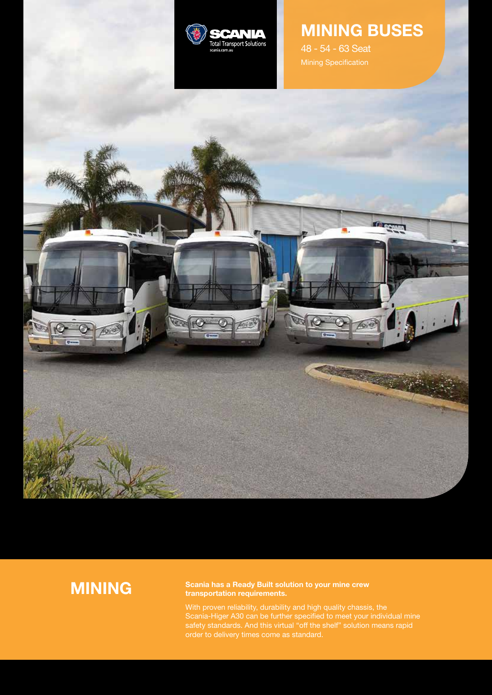

# **MINING BUSES**

48 - 54 - 63 Seat



# **MINING**

## **Scania has a Ready Built solution to your mine crew transportation requirements.**

With proven reliability, durability and high quality chassis, the Scania-Higer A30 can be further specified to meet your individual mine